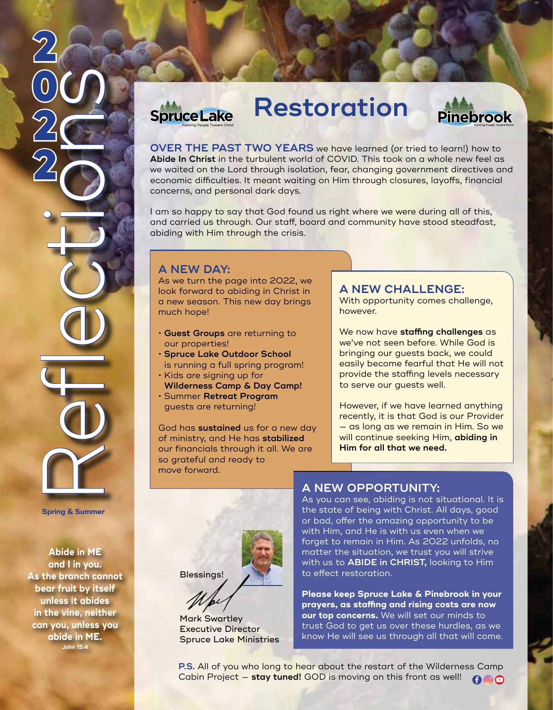

**Spring & Summer** 

**Abide in ME and I in you. As the branch cannot bear fruit by itself unless it abides in the vine, neither can you, unless you abide in ME. John 15:4**

## **Restoration Spruce Lake**



**OVER THE PAST TWO YEARS** we have learned (or tried to learn!) how to **Abide In Christ** in the turbulent world of COVID. This took on a whole new feel as we waited on the Lord through isolation, fear, changing government directives and economic difficulties. It meant waiting on Him through closures, layoffs, financial concerns, and personal dark days.

I am so happy to say that God found us right where we were during all of this, and carried us through. Our staff, board and community have stood steadfast, abiding with Him through the crisis.

## **A NEW DAY:**

As we turn the page into 2022, we look forward to abiding in Christ in a new season. This new day brings much hope!

- **Guest Groups** are returning to our properties!
- **Spruce Lake Outdoor School**  is running a full spring program!
- Kids are signing up for
- **Wilderness Camp & Day Camp!**
- Summer **Retreat Program** guests are returning!

God has **sustained** us for a new day of ministry, and He has **stabilized** our financials through it all. We are so grateful and ready to move forward.

## **A NEW CHALLENGE:**

With opportunity comes challenge, however.

We now have **staffing challenges** as we've not seen before. While God is bringing our guests back, we could easily become fearful that He will not provide the staffing levels necessary to serve our guests well.

However, if we have learned anything recently, it is that God is our Provider — as long as we remain in Him. So we will continue seeking Him, **abiding in Him for all that we need.**



### Mark Swartley Executive Director Spruce Lake Ministries

## **A NEW OPPORTUNITY:**

As you can see, abiding is not situational. It is the state of being with Christ. All days, good or bad, offer the amazing opportunity to be with Him, and He is with us even when we forget to remain in Him. As 2022 unfolds, no matter the situation, we trust you will strive with us to **ABIDE in CHRIST,** looking to Him to effect restoration.

**Please keep Spruce Lake & Pinebrook in your prayers, as staffing and rising costs are now our top concerns.** We will set our minds to trust God to get us over these hurdles, as we know He will see us through all that will come.

**P.S.** All of you who long to hear about the restart of the Wilderness Camp Cabin Project — **stay tuned!** GOD is moving on this front as well! **GOO**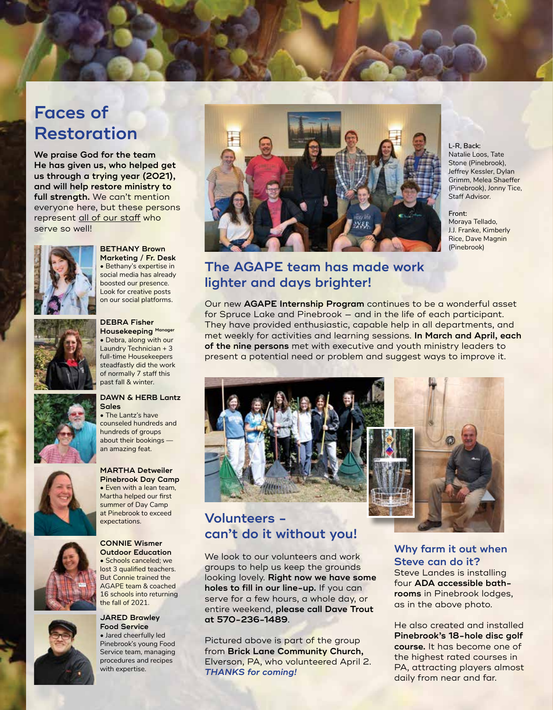# **Faces of Restoration**

**We praise God for the team He has given us, who helped get us through a trying year (2021), and will help restore ministry to full strength.** We can't mention everyone here, but these persons represent all of our staff who serve so well!



**BETHANY Brown Marketing / Fr. Desk** • Bethany's expertise in social media has already boosted our presence. Look for creative posts on our social platforms.



**DEBRA Fisher Housekeeping Manager** • Debra, along with our Laundry Technician + 3 full-time Housekeepers steadfastly did the work of normally 7 staff this past fall & winter.



#### **DAWN & HERB Lantz Sales**

• The Lantz's have counseled hundreds and hundreds of groups about their bookings an amazing feat.



#### **Pinebrook Day Camp** • Even with a lean team, Martha helped our first summer of Day Camp at Pinebrook to exceed expectations.



### **JARED Brawley Food Service**

• Jared cheerfully led Pinebrook's young Food Service team, managing procedures and recipes with expertise.



**L-R, Back:** Natalie Loos, Tate Stone (Pinebrook), Jeffrey Kessler, Dylan Grimm, Melea Shaeffer (Pinebrook), Jonny Tice, Staff Advisor.

**Front:**  Moraya Tellado, J.J. Franke, Kimberly Rice, Dave Magnin (Pinebrook)

## **The AGAPE team has made work lighter and days brighter!**

Our new **AGAPE Internship Program** continues to be a wonderful asset for Spruce Lake and Pinebrook — and in the life of each participant. They have provided enthusiastic, capable help in all departments, and met weekly for activities and learning sessions. **In March and April, each of the nine persons** met with executive and youth ministry leaders to present a potential need or problem and suggest ways to improve it.



## **Volunteers can't do it without you!**

We look to our volunteers and work groups to help us keep the grounds looking lovely. **Right now we have some holes to fill in our line-up.** If you can serve for a few hours, a whole day, or entire weekend, **please call Dave Trout at 570-236-1489**.

Pictured above is part of the group from **Brick Lane Community Church,** Elverson, PA, who volunteered April 2. *THANKS for coming!*

**Why farm it out when Steve can do it?**

Steve Landes is installing four **ADA accessible bathrooms** in Pinebrook lodges, as in the above photo.

He also created and installed **Pinebrook's 18-hole disc golf course.** It has become one of the highest rated courses in PA, attracting players almost daily from near and far.







AGAPE team & coached 16 schools into returning the fall of 2021.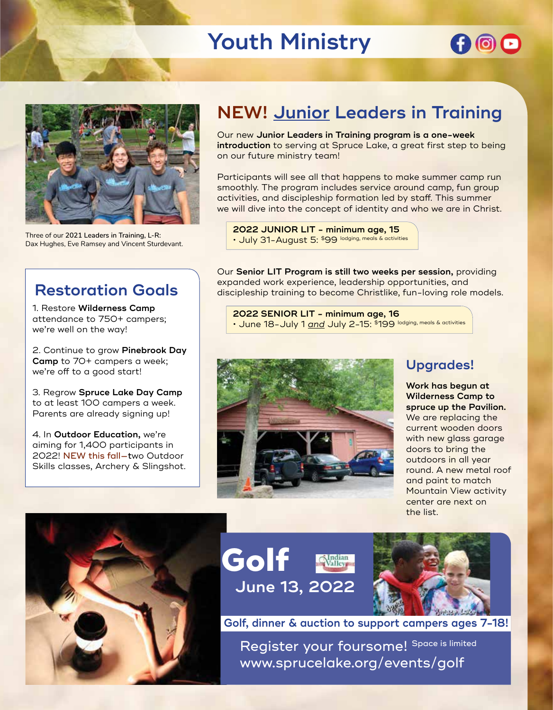# **Youth Ministry**





Three of our **2021 Leaders in Training, L-R:** Dax Hughes, Eve Ramsey and Vincent Sturdevant.

# **Restoration Goals**

1. Restore **Wilderness Camp**  attendance to 750+ campers; we're well on the way!

2. Continue to grow **Pinebrook Day Camp** to 70+ campers a week; we're off to a good start!

3. Regrow **Spruce Lake Day Camp** to at least 100 campers a week. Parents are already signing up!

4. In **Outdoor Education,** we're aiming for 1,400 participants in 2022! NEW this fall—two Outdoor Skills classes, Archery & Slingshot.

# **NEW! Junior Leaders in Training**

Our new **Junior Leaders in Training program is a one-week introduction** to serving at Spruce Lake, a great first step to being on our future ministry team!

Participants will see all that happens to make summer camp run smoothly. The program includes service around camp, fun group activities, and discipleship formation led by staff. This summer we will dive into the concept of identity and who we are in Christ.

**2022 JUNIOR LIT - minimum age, 15** • July 31-August 5: \$99 lodging, meals & activities

Our **Senior LIT Program is still two weeks per session,** providing expanded work experience, leadership opportunities, and discipleship training to become Christlike, fun-loving role models.

**2022 SENIOR LIT - minimum age, 16** • June 18-July 1 *and* July 2-15: \$199 lodging, meals & activities



## **Upgrades!**

**Work has begun at Wilderness Camp to spruce up the Pavilion.**  We are replacing the current wooden doors with new glass garage doors to bring the outdoors in all year round. A new metal roof and paint to match Mountain View activity center are next on the list.







**Golf, dinner & auction to support campers ages 7-18!**

Register your foursome! Space is limited www.sprucelake.org/events/golf